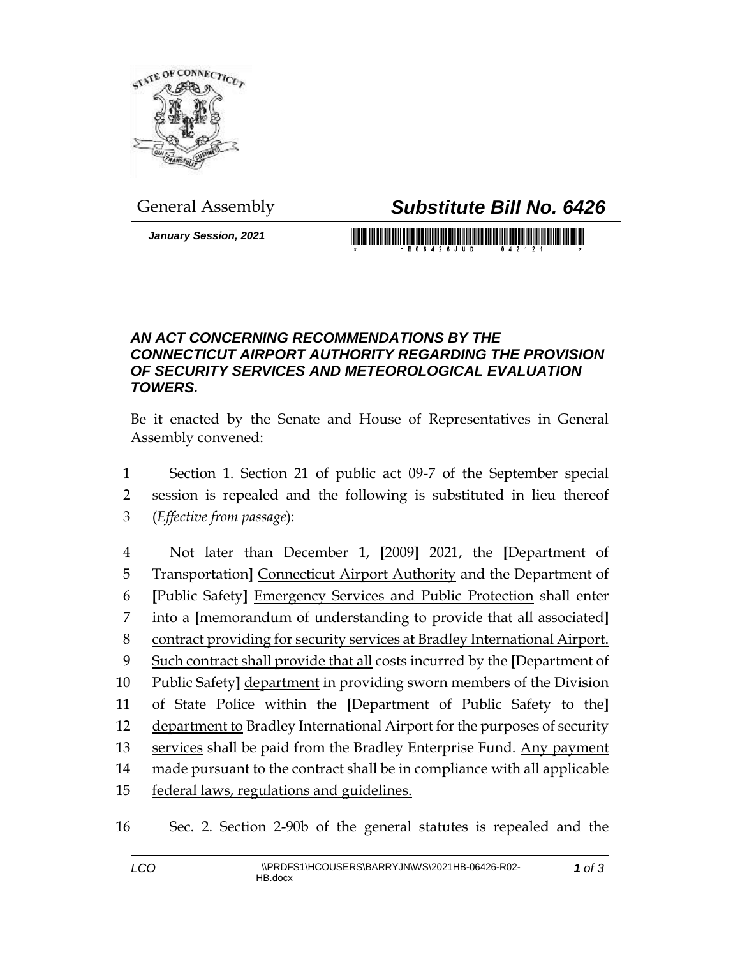

## General Assembly *Substitute Bill No. 6426*

*January Session, 2021*

## *AN ACT CONCERNING RECOMMENDATIONS BY THE CONNECTICUT AIRPORT AUTHORITY REGARDING THE PROVISION OF SECURITY SERVICES AND METEOROLOGICAL EVALUATION TOWERS.*

Be it enacted by the Senate and House of Representatives in General Assembly convened:

1 Section 1. Section 21 of public act 09-7 of the September special 2 session is repealed and the following is substituted in lieu thereof 3 (*Effective from passage*):

 Not later than December 1, **[**2009**]** 2021, the **[**Department of Transportation**]** Connecticut Airport Authority and the Department of **[**Public Safety**]** Emergency Services and Public Protection shall enter into a **[**memorandum of understanding to provide that all associated**]** contract providing for security services at Bradley International Airport. Such contract shall provide that all costs incurred by the **[**Department of Public Safety**]** department in providing sworn members of the Division of State Police within the **[**Department of Public Safety to the**]** department to Bradley International Airport for the purposes of security 13 services shall be paid from the Bradley Enterprise Fund. Any payment 14 made pursuant to the contract shall be in compliance with all applicable federal laws, regulations and guidelines.

16 Sec. 2. Section 2-90b of the general statutes is repealed and the

*1 of 3*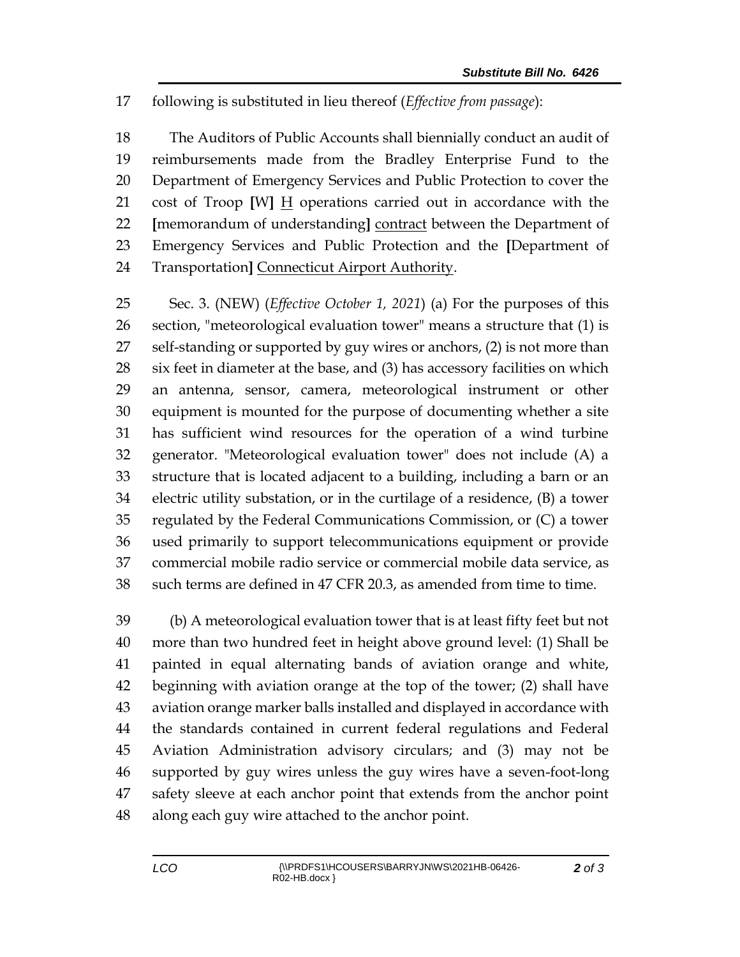following is substituted in lieu thereof (*Effective from passage*):

 The Auditors of Public Accounts shall biennially conduct an audit of reimbursements made from the Bradley Enterprise Fund to the Department of Emergency Services and Public Protection to cover the cost of Troop **[**W**]** H operations carried out in accordance with the **[**memorandum of understanding**]** contract between the Department of Emergency Services and Public Protection and the **[**Department of Transportation**]** Connecticut Airport Authority.

 Sec. 3. (NEW) (*Effective October 1, 2021*) (a) For the purposes of this section, "meteorological evaluation tower" means a structure that (1) is 27 self-standing or supported by guy wires or anchors, (2) is not more than six feet in diameter at the base, and (3) has accessory facilities on which an antenna, sensor, camera, meteorological instrument or other equipment is mounted for the purpose of documenting whether a site has sufficient wind resources for the operation of a wind turbine generator. "Meteorological evaluation tower" does not include (A) a structure that is located adjacent to a building, including a barn or an electric utility substation, or in the curtilage of a residence, (B) a tower regulated by the Federal Communications Commission, or (C) a tower used primarily to support telecommunications equipment or provide commercial mobile radio service or commercial mobile data service, as such terms are defined in 47 CFR 20.3, as amended from time to time.

 (b) A meteorological evaluation tower that is at least fifty feet but not more than two hundred feet in height above ground level: (1) Shall be painted in equal alternating bands of aviation orange and white, beginning with aviation orange at the top of the tower; (2) shall have aviation orange marker balls installed and displayed in accordance with the standards contained in current federal regulations and Federal Aviation Administration advisory circulars; and (3) may not be supported by guy wires unless the guy wires have a seven-foot-long safety sleeve at each anchor point that extends from the anchor point along each guy wire attached to the anchor point.